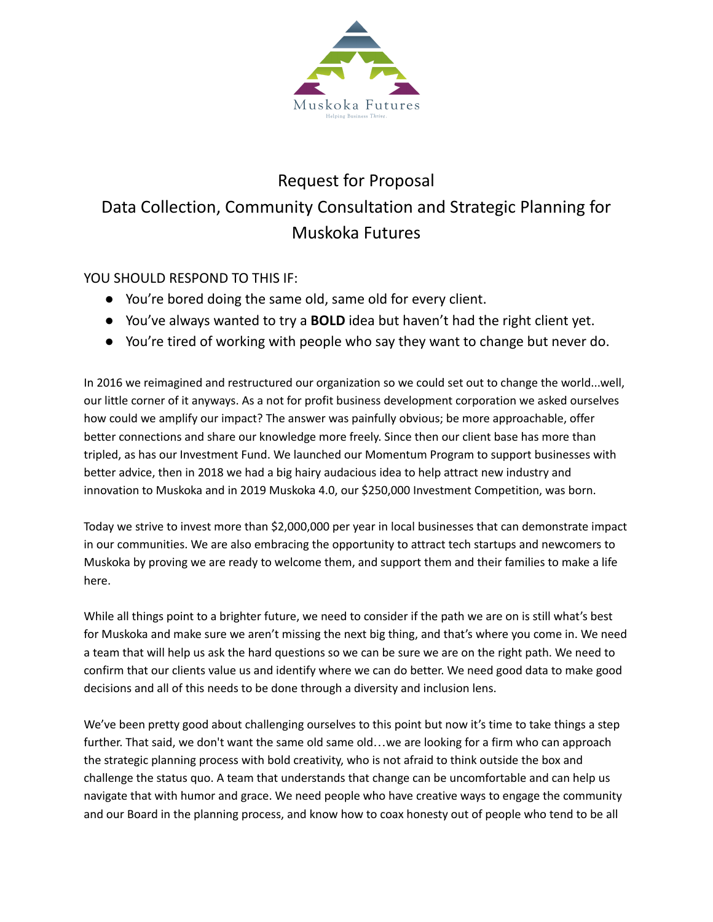

# Request for Proposal Data Collection, Community Consultation and Strategic Planning for Muskoka Futures

# YOU SHOULD RESPOND TO THIS IF:

- You're bored doing the same old, same old for every client.
- You've always wanted to try a **BOLD** idea but haven't had the right client yet.
- You're tired of working with people who say they want to change but never do.

In 2016 we reimagined and restructured our organization so we could set out to change the world...well, our little corner of it anyways. As a not for profit business development corporation we asked ourselves how could we amplify our impact? The answer was painfully obvious; be more approachable, offer better connections and share our knowledge more freely. Since then our client base has more than tripled, as has our Investment Fund. We launched our Momentum Program to support businesses with better advice, then in 2018 we had a big hairy audacious idea to help attract new industry and innovation to Muskoka and in 2019 Muskoka 4.0, our \$250,000 Investment Competition, was born.

Today we strive to invest more than \$2,000,000 per year in local businesses that can demonstrate impact in our communities. We are also embracing the opportunity to attract tech startups and newcomers to Muskoka by proving we are ready to welcome them, and support them and their families to make a life here.

While all things point to a brighter future, we need to consider if the path we are on is still what's best for Muskoka and make sure we aren't missing the next big thing, and that's where you come in. We need a team that will help us ask the hard questions so we can be sure we are on the right path. We need to confirm that our clients value us and identify where we can do better. We need good data to make good decisions and all of this needs to be done through a diversity and inclusion lens.

We've been pretty good about challenging ourselves to this point but now it's time to take things a step further. That said, we don't want the same old same old...we are looking for a firm who can approach the strategic planning process with bold creativity, who is not afraid to think outside the box and challenge the status quo. A team that understands that change can be uncomfortable and can help us navigate that with humor and grace. We need people who have creative ways to engage the community and our Board in the planning process, and know how to coax honesty out of people who tend to be all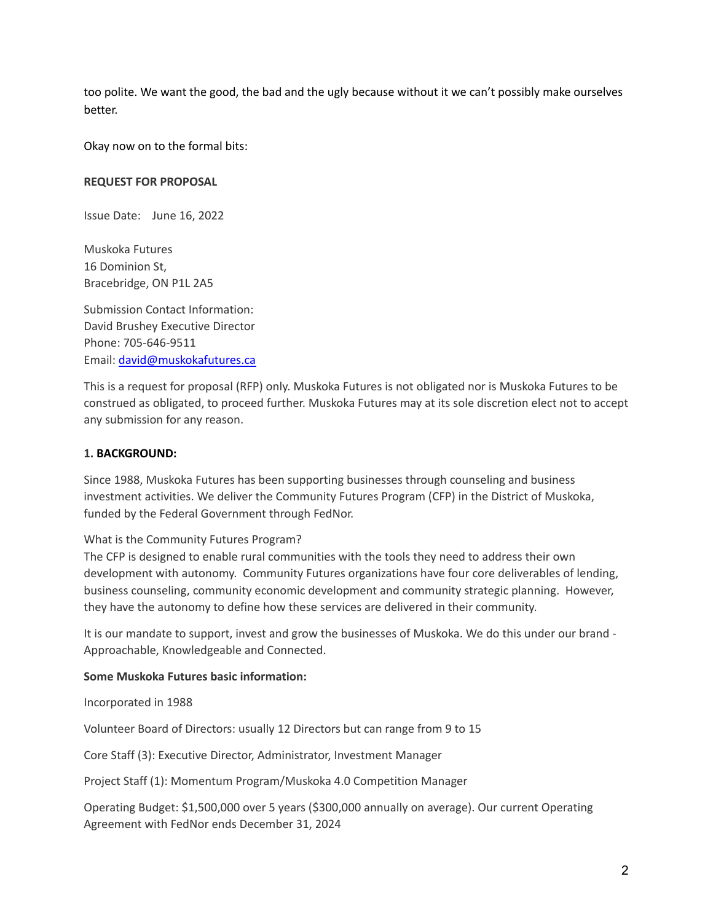too polite. We want the good, the bad and the ugly because without it we can't possibly make ourselves better.

Okay now on to the formal bits:

#### **REQUEST FOR PROPOSAL**

Issue Date: June 16, 2022

Muskoka Futures 16 Dominion St, Bracebridge, ON P1L 2A5

Submission Contact Information: David Brushey Executive Director Phone: 705-646-9511 Email: [david@muskokafutures.ca](mailto:david@muskokafutures.ca)

This is a request for proposal (RFP) only. Muskoka Futures is not obligated nor is Muskoka Futures to be construed as obligated, to proceed further. Muskoka Futures may at its sole discretion elect not to accept any submission for any reason.

#### **1. BACKGROUND:**

Since 1988, Muskoka Futures has been supporting businesses through counseling and business investment activities. We deliver the Community Futures Program (CFP) in the District of Muskoka, funded by the Federal Government through FedNor.

#### What is the Community Futures Program?

The CFP is designed to enable rural communities with the tools they need to address their own development with autonomy. Community Futures organizations have four core deliverables of lending, business counseling, community economic development and community strategic planning. However, they have the autonomy to define how these services are delivered in their community.

It is our mandate to support, invest and grow the businesses of Muskoka. We do this under our brand - Approachable, Knowledgeable and Connected.

#### **Some Muskoka Futures basic information:**

Incorporated in 1988

Volunteer Board of Directors: usually 12 Directors but can range from 9 to 15

Core Staff (3): Executive Director, Administrator, Investment Manager

Project Staff (1): Momentum Program/Muskoka 4.0 Competition Manager

Operating Budget: \$1,500,000 over 5 years (\$300,000 annually on average). Our current Operating Agreement with FedNor ends December 31, 2024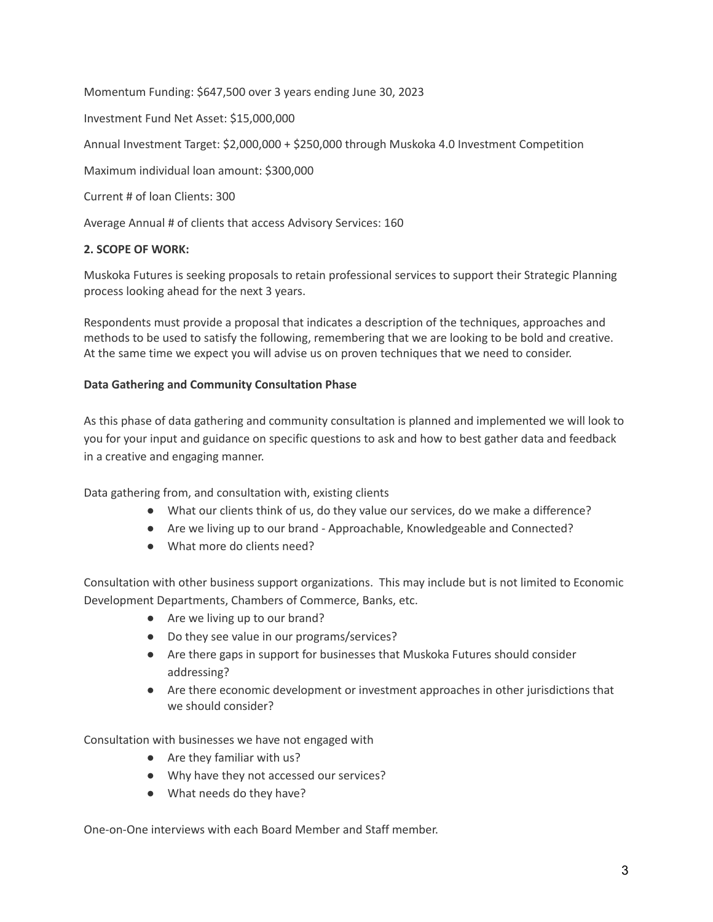Momentum Funding: \$647,500 over 3 years ending June 30, 2023 Investment Fund Net Asset: \$15,000,000 Annual Investment Target: \$2,000,000 + \$250,000 through Muskoka 4.0 Investment Competition Maximum individual loan amount: \$300,000 Current # of loan Clients: 300

Average Annual # of clients that access Advisory Services: 160

# **2. SCOPE OF WORK:**

Muskoka Futures is seeking proposals to retain professional services to support their Strategic Planning process looking ahead for the next 3 years.

Respondents must provide a proposal that indicates a description of the techniques, approaches and methods to be used to satisfy the following, remembering that we are looking to be bold and creative. At the same time we expect you will advise us on proven techniques that we need to consider.

# **Data Gathering and Community Consultation Phase**

As this phase of data gathering and community consultation is planned and implemented we will look to you for your input and guidance on specific questions to ask and how to best gather data and feedback in a creative and engaging manner.

Data gathering from, and consultation with, existing clients

- What our clients think of us, do they value our services, do we make a difference?
- Are we living up to our brand Approachable, Knowledgeable and Connected?
- What more do clients need?

Consultation with other business support organizations. This may include but is not limited to Economic Development Departments, Chambers of Commerce, Banks, etc.

- Are we living up to our brand?
- Do they see value in our programs/services?
- Are there gaps in support for businesses that Muskoka Futures should consider addressing?
- Are there economic development or investment approaches in other jurisdictions that we should consider?

Consultation with businesses we have not engaged with

- Are they familiar with us?
- Why have they not accessed our services?
- What needs do they have?

One-on-One interviews with each Board Member and Staff member.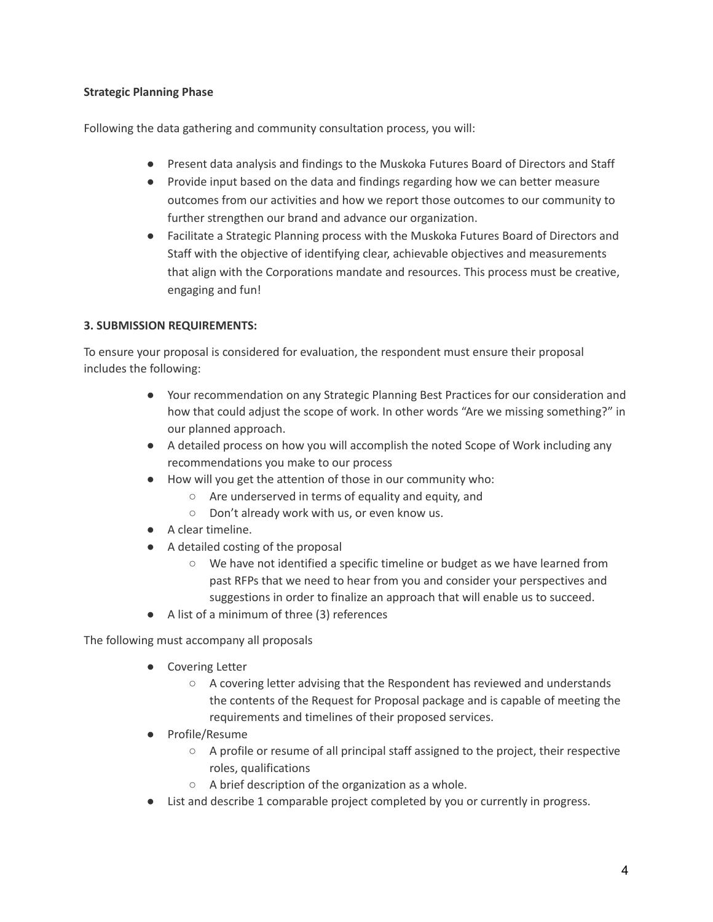# **Strategic Planning Phase**

Following the data gathering and community consultation process, you will:

- Present data analysis and findings to the Muskoka Futures Board of Directors and Staff
- Provide input based on the data and findings regarding how we can better measure outcomes from our activities and how we report those outcomes to our community to further strengthen our brand and advance our organization.
- Facilitate a Strategic Planning process with the Muskoka Futures Board of Directors and Staff with the objective of identifying clear, achievable objectives and measurements that align with the Corporations mandate and resources. This process must be creative, engaging and fun!

# **3. SUBMISSION REQUIREMENTS:**

To ensure your proposal is considered for evaluation, the respondent must ensure their proposal includes the following:

- Your recommendation on any Strategic Planning Best Practices for our consideration and how that could adjust the scope of work. In other words "Are we missing something?" in our planned approach.
- A detailed process on how you will accomplish the noted Scope of Work including any recommendations you make to our process
- How will you get the attention of those in our community who:
	- Are underserved in terms of equality and equity, and
		- Don't already work with us, or even know us.
- A clear timeline.
- A detailed costing of the proposal
	- We have not identified a specific timeline or budget as we have learned from past RFPs that we need to hear from you and consider your perspectives and suggestions in order to finalize an approach that will enable us to succeed.
- A list of a minimum of three (3) references

The following must accompany all proposals

- Covering Letter
	- A covering letter advising that the Respondent has reviewed and understands the contents of the Request for Proposal package and is capable of meeting the requirements and timelines of their proposed services.
- Profile/Resume
	- A profile or resume of all principal staff assigned to the project, their respective roles, qualifications
	- A brief description of the organization as a whole.
- List and describe 1 comparable project completed by you or currently in progress.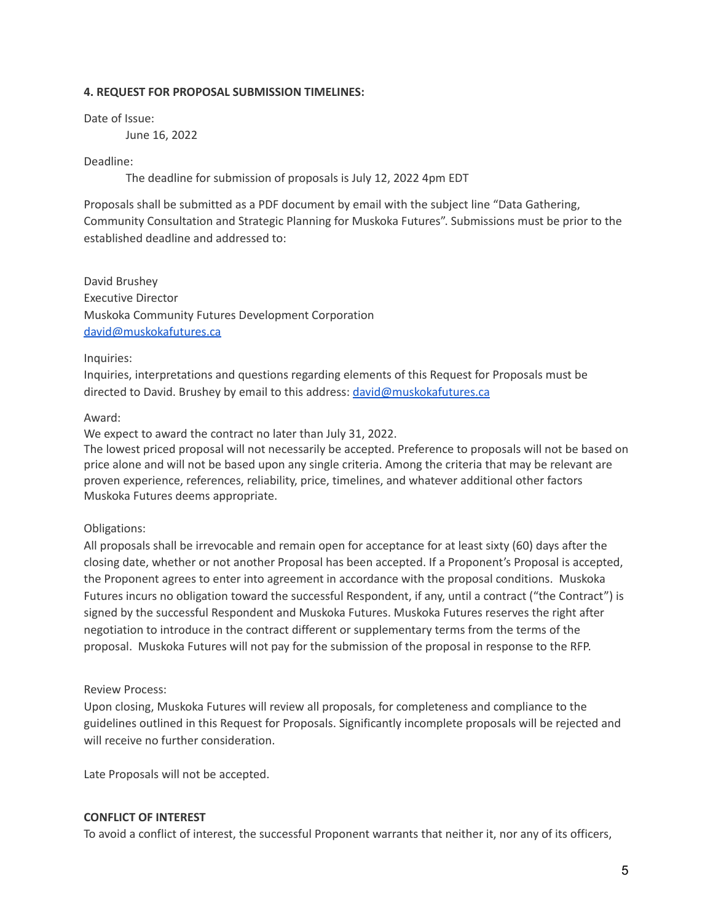#### **4. REQUEST FOR PROPOSAL SUBMISSION TIMELINES:**

Date of Issue:

June 16, 2022

#### Deadline:

The deadline for submission of proposals is July 12, 2022 4pm EDT

Proposals shall be submitted as a PDF document by email with the subject line "Data Gathering, Community Consultation and Strategic Planning for Muskoka Futures". Submissions must be prior to the established deadline and addressed to:

David Brushey Executive Director Muskoka Community Futures Development Corporation [david@muskokafutures.ca](mailto:david@muskokafutures.ca)

#### Inquiries:

Inquiries, interpretations and questions regarding elements of this Request for Proposals must be directed to David. Brushey by email to this address: [david@muskokafutures.ca](mailto:david@muskokafutures.ca)

#### Award:

We expect to award the contract no later than July 31, 2022.

The lowest priced proposal will not necessarily be accepted. Preference to proposals will not be based on price alone and will not be based upon any single criteria. Among the criteria that may be relevant are proven experience, references, reliability, price, timelines, and whatever additional other factors Muskoka Futures deems appropriate.

#### Obligations:

All proposals shall be irrevocable and remain open for acceptance for at least sixty (60) days after the closing date, whether or not another Proposal has been accepted. If a Proponent's Proposal is accepted, the Proponent agrees to enter into agreement in accordance with the proposal conditions. Muskoka Futures incurs no obligation toward the successful Respondent, if any, until a contract ("the Contract") is signed by the successful Respondent and Muskoka Futures. Muskoka Futures reserves the right after negotiation to introduce in the contract different or supplementary terms from the terms of the proposal. Muskoka Futures will not pay for the submission of the proposal in response to the RFP.

#### Review Process:

Upon closing, Muskoka Futures will review all proposals, for completeness and compliance to the guidelines outlined in this Request for Proposals. Significantly incomplete proposals will be rejected and will receive no further consideration.

Late Proposals will not be accepted.

#### **CONFLICT OF INTEREST**

To avoid a conflict of interest, the successful Proponent warrants that neither it, nor any of its officers,